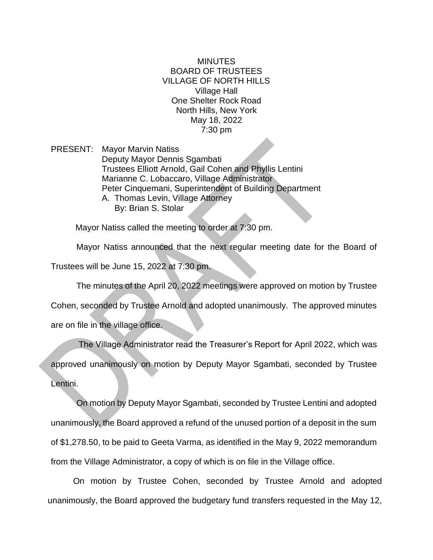MINUTES BOARD OF TRUSTEES VILLAGE OF NORTH HILLS Village Hall One Shelter Rock Road North Hills, New York May 18, 2022 7:30 pm

PRESENT: Mayor Marvin Natiss Deputy Mayor Dennis Sgambati Trustees Elliott Arnold, Gail Cohen and Phyllis Lentini Marianne C. Lobaccaro, Village Administrator Peter Cinquemani, Superintendent of Building Department A. Thomas Levin, Village Attorney By: Brian S. Stolar

Mayor Natiss called the meeting to order at 7:30 pm.

Mayor Natiss announced that the next regular meeting date for the Board of Trustees will be June 15, 2022 at 7:30 pm.

The minutes of the April 20, 2022 meetings were approved on motion by Trustee

Cohen, seconded by Trustee Arnold and adopted unanimously. The approved minutes

are on file in the village office.

The Village Administrator read the Treasurer's Report for April 2022, which was

approved unanimously on motion by Deputy Mayor Sgambati, seconded by Trustee Lentini.

On motion by Deputy Mayor Sgambati, seconded by Trustee Lentini and adopted unanimously, the Board approved a refund of the unused portion of a deposit in the sum of \$1,278.50, to be paid to Geeta Varma, as identified in the May 9, 2022 memorandum from the Village Administrator, a copy of which is on file in the Village office.

On motion by Trustee Cohen, seconded by Trustee Arnold and adopted unanimously, the Board approved the budgetary fund transfers requested in the May 12,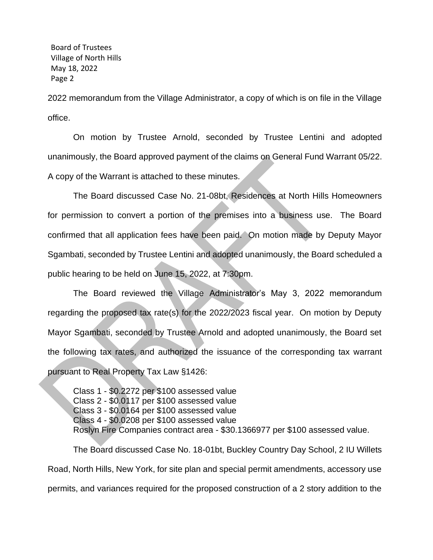2022 memorandum from the Village Administrator, a copy of which is on file in the Village office.

On motion by Trustee Arnold, seconded by Trustee Lentini and adopted unanimously, the Board approved payment of the claims on General Fund Warrant 05/22. A copy of the Warrant is attached to these minutes.

The Board discussed Case No. 21-08bt, Residences at North Hills Homeowners for permission to convert a portion of the premises into a business use. The Board confirmed that all application fees have been paid. On motion made by Deputy Mayor Sgambati, seconded by Trustee Lentini and adopted unanimously, the Board scheduled a public hearing to be held on June 15, 2022, at 7:30pm.

The Board reviewed the Village Administrator's May 3, 2022 memorandum regarding the proposed tax rate(s) for the 2022/2023 fiscal year. On motion by Deputy Mayor Sgambati, seconded by Trustee Arnold and adopted unanimously, the Board set the following tax rates, and authorized the issuance of the corresponding tax warrant pursuant to Real Property Tax Law §1426:

Class 1 - \$0.2272 per \$100 assessed value Class 2 - \$0.0117 per \$100 assessed value Class 3 - \$0.0164 per \$100 assessed value Class 4 - \$0.0208 per \$100 assessed value Roslyn Fire Companies contract area - \$30.1366977 per \$100 assessed value.

The Board discussed Case No. 18-01bt, Buckley Country Day School, 2 IU Willets Road, North Hills, New York, for site plan and special permit amendments, accessory use permits, and variances required for the proposed construction of a 2 story addition to the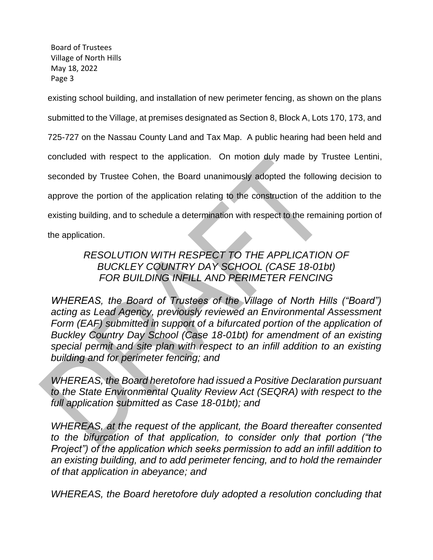existing school building, and installation of new perimeter fencing, as shown on the plans submitted to the Village, at premises designated as Section 8, Block A, Lots 170, 173, and 725-727 on the Nassau County Land and Tax Map. A public hearing had been held and concluded with respect to the application. On motion duly made by Trustee Lentini, seconded by Trustee Cohen, the Board unanimously adopted the following decision to approve the portion of the application relating to the construction of the addition to the existing building, and to schedule a determination with respect to the remaining portion of the application.

## *RESOLUTION WITH RESPECT TO THE APPLICATION OF BUCKLEY COUNTRY DAY SCHOOL (CASE 18-01bt) FOR BUILDING INFILL AND PERIMETER FENCING*

*WHEREAS, the Board of Trustees of the Village of North Hills ("Board") acting as Lead Agency, previously reviewed an Environmental Assessment Form (EAF)* submitted in support of a bifurcated portion of the application of *Buckley Country Day School (Case 18-01bt) for amendment of an existing special permit and site plan with respect to an infill addition to an existing building and for perimeter fencing; and*

*WHEREAS, the Board heretofore had issued a Positive Declaration pursuant to the State Environmental Quality Review Act (SEQRA) with respect to the full application submitted as Case 18-01bt); and*

*WHEREAS, at the request of the applicant, the Board thereafter consented to the bifurcation of that application, to consider only that portion ("the Project") of the application which seeks permission to add an infill addition to an existing building, and to add perimeter fencing, and to hold the remainder of that application in abeyance; and*

*WHEREAS, the Board heretofore duly adopted a resolution concluding that*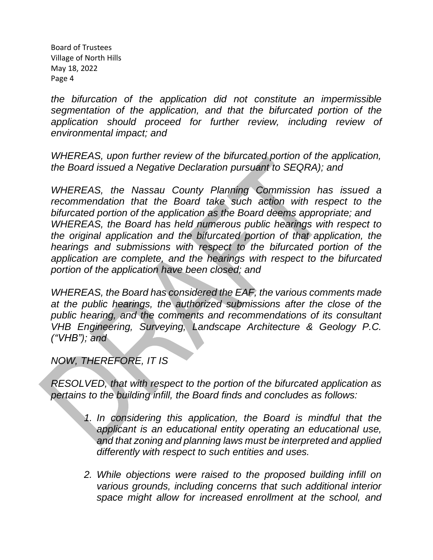*the bifurcation of the application did not constitute an impermissible segmentation of the application, and that the bifurcated portion of the application should proceed for further review, including review of environmental impact; and* 

*WHEREAS, upon further review of the bifurcated portion of the application, the Board issued a Negative Declaration pursuant to SEQRA); and*

*WHEREAS, the Nassau County Planning Commission has issued a*  recommendation that the Board take such action with respect to the *bifurcated portion of the application as the Board deems appropriate; and WHEREAS, the Board has held numerous public hearings with respect to the original application and the bifurcated portion of that application, the hearings and submissions with respect to the bifurcated portion of the application are complete, and the hearings with respect to the bifurcated portion of the application have been closed; and*

*WHEREAS, the Board has considered the EAF, the various comments made at the public hearings, the authorized submissions after the close of the public hearing, and the comments and recommendations of its consultant VHB Engineering, Surveying, Landscape Architecture & Geology P.C. ("VHB"); and*

*NOW, THEREFORE, IT IS*

*RESOLVED, that with respect to the portion of the bifurcated application as pertains to the building infill, the Board finds and concludes as follows:*

- *1. In considering this application, the Board is mindful that the applicant is an educational entity operating an educational use, and that zoning and planning laws must be interpreted and applied differently with respect to such entities and uses.*
- *2. While objections were raised to the proposed building infill on various grounds, including concerns that such additional interior space might allow for increased enrollment at the school, and*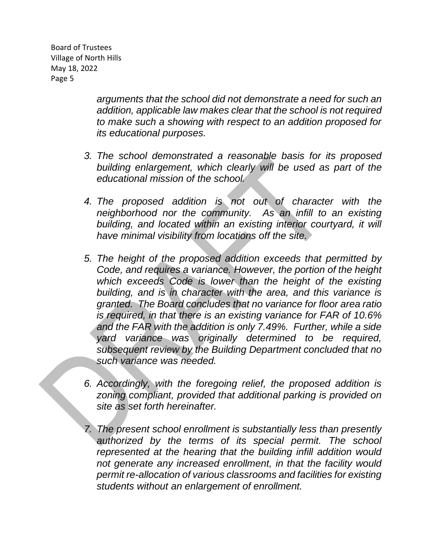> *arguments that the school did not demonstrate a need for such an addition, applicable law makes clear that the school is not required to make such a showing with respect to an addition proposed for its educational purposes.*

- *3. The school demonstrated a reasonable basis for its proposed building enlargement, which clearly will be used as part of the educational mission of the school.*
- *4. The proposed addition is not out of character with the neighborhood nor the community. As an infill to an existing building, and located within an existing interior courtyard, it will have minimal visibility from locations off the site.*
- *5. The height of the proposed addition exceeds that permitted by Code, and requires a variance. However, the portion of the height which exceeds Code is lower than the height of the existing building, and is in character with the area, and this variance is granted. The Board concludes that no variance for floor area ratio is required, in that there is an existing variance for FAR of 10.6% and the FAR with the addition is only 7.49%. Further, while a side yard variance was originally determined to be required, subsequent review by the Building Department concluded that no such variance was needed.*
- *6. Accordingly, with the foregoing relief, the proposed addition is zoning compliant, provided that additional parking is provided on site as set forth hereinafter.*
- *7. The present school enrollment is substantially less than presently authorized by the terms of its special permit. The school represented at the hearing that the building infill addition would not generate any increased enrollment, in that the facility would permit re-allocation of various classrooms and facilities for existing students without an enlargement of enrollment.*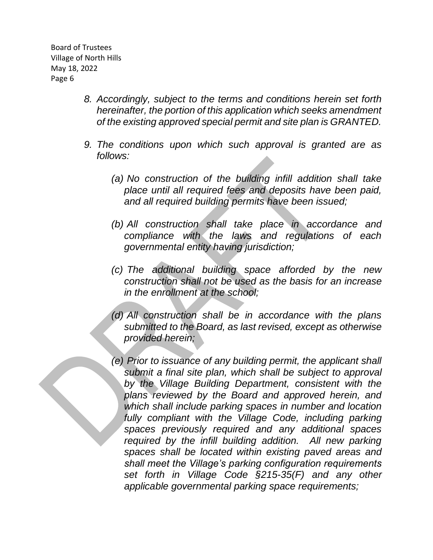- *8. Accordingly, subject to the terms and conditions herein set forth hereinafter, the portion of this application which seeks amendment of the existing approved special permit and site plan is GRANTED.*
- *9. The conditions upon which such approval is granted are as follows:*
	- *(a) No construction of the building infill addition shall take place until all required fees and deposits have been paid, and all required building permits have been issued;*
	- *(b) All construction shall take place in accordance and compliance with the laws and regulations of each governmental entity having jurisdiction;*
	- *(c) The additional building space afforded by the new construction shall not be used as the basis for an increase in the enrollment at the school;*
	- *(d) All construction shall be in accordance with the plans submitted to the Board, as last revised, except as otherwise provided herein;*
	- *(e) Prior to issuance of any building permit, the applicant shall submit a final site plan, which shall be subject to approval by the Village Building Department, consistent with the plans reviewed by the Board and approved herein, and which shall include parking spaces in number and location*  fully compliant with the Village Code, including parking *spaces previously required and any additional spaces required by the infill building addition. All new parking spaces shall be located within existing paved areas and shall meet the Village's parking configuration requirements set forth in Village Code §215-35(F) and any other applicable governmental parking space requirements;*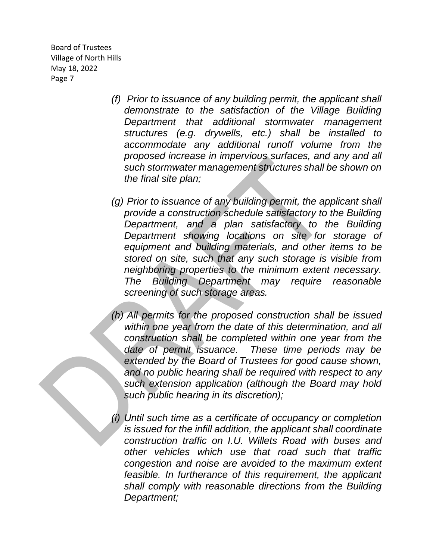- *(f) Prior to issuance of any building permit, the applicant shall demonstrate to the satisfaction of the Village Building Department that additional stormwater management structures (e.g. drywells, etc.) shall be installed to accommodate any additional runoff volume from the proposed increase in impervious surfaces, and any and all such stormwater management structures shall be shown on the final site plan;*
- *(g) Prior to issuance of any building permit, the applicant shall provide a construction schedule satisfactory to the Building Department, and a plan satisfactory to the Building Department showing locations on site for storage of equipment and building materials, and other items to be stored on site, such that any such storage is visible from neighboring properties to the minimum extent necessary. The Building Department may require reasonable screening of such storage areas.*
- *(h) All permits for the proposed construction shall be issued within one year from the date of this determination, and all construction shall be completed within one year from the date of permit issuance. These time periods may be extended by the Board of Trustees for good cause shown, and no public hearing shall be required with respect to any such extension application (although the Board may hold such public hearing in its discretion);*
- *(i) Until such time as a certificate of occupancy or completion is issued for the infill addition, the applicant shall coordinate construction traffic on I.U. Willets Road with buses and other vehicles which use that road such that traffic congestion and noise are avoided to the maximum extent feasible. In furtherance of this requirement, the applicant shall comply with reasonable directions from the Building Department;*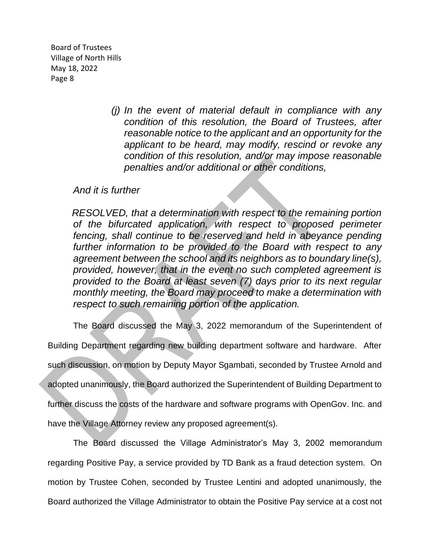> *(j) In the event of material default in compliance with any condition of this resolution, the Board of Trustees, after reasonable notice to the applicant and an opportunity for the applicant to be heard, may modify, rescind or revoke any condition of this resolution, and/or may impose reasonable penalties and/or additional or other conditions,*

*And it is further*

*RESOLVED, that a determination with respect to the remaining portion of the bifurcated application, with respect to proposed perimeter fencing, shall continue to be reserved and held in abeyance pending further information to be provided to the Board with respect to any agreement between the school and its neighbors as to boundary line(s), provided, however, that in the event no such completed agreement is provided to the Board at least seven (7) days prior to its next regular monthly meeting, the Board may proceed to make a determination with respect to such remaining portion of the application.*

The Board discussed the May 3, 2022 memorandum of the Superintendent of

Building Department regarding new building department software and hardware. After such discussion, on motion by Deputy Mayor Sgambati, seconded by Trustee Arnold and adopted unanimously, the Board authorized the Superintendent of Building Department to further discuss the costs of the hardware and software programs with OpenGov. Inc. and have the Village Attorney review any proposed agreement(s).

The Board discussed the Village Administrator's May 3, 2002 memorandum regarding Positive Pay, a service provided by TD Bank as a fraud detection system. On motion by Trustee Cohen, seconded by Trustee Lentini and adopted unanimously, the Board authorized the Village Administrator to obtain the Positive Pay service at a cost not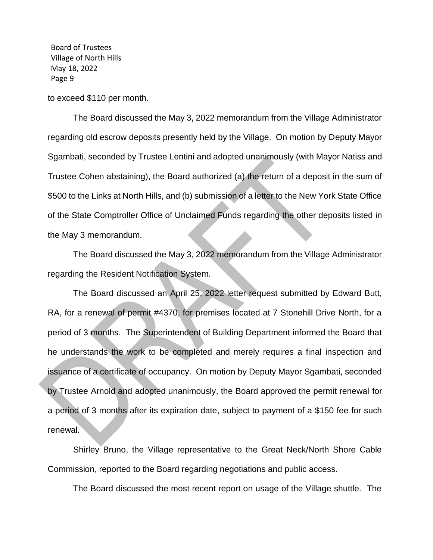to exceed \$110 per month.

The Board discussed the May 3, 2022 memorandum from the Village Administrator regarding old escrow deposits presently held by the Village. On motion by Deputy Mayor Sgambati, seconded by Trustee Lentini and adopted unanimously (with Mayor Natiss and Trustee Cohen abstaining), the Board authorized (a) the return of a deposit in the sum of \$500 to the Links at North Hills, and (b) submission of a letter to the New York State Office of the State Comptroller Office of Unclaimed Funds regarding the other deposits listed in the May 3 memorandum.

The Board discussed the May 3, 2022 memorandum from the Village Administrator regarding the Resident Notification System.

The Board discussed an April 25, 2022 letter request submitted by Edward Butt, RA, for a renewal of permit #4370, for premises located at 7 Stonehill Drive North, for a period of 3 months. The Superintendent of Building Department informed the Board that he understands the work to be completed and merely requires a final inspection and issuance of a certificate of occupancy. On motion by Deputy Mayor Sgambati, seconded by Trustee Arnold and adopted unanimously, the Board approved the permit renewal for a period of 3 months after its expiration date, subject to payment of a \$150 fee for such renewal.

Shirley Bruno, the Village representative to the Great Neck/North Shore Cable Commission, reported to the Board regarding negotiations and public access.

The Board discussed the most recent report on usage of the Village shuttle. The